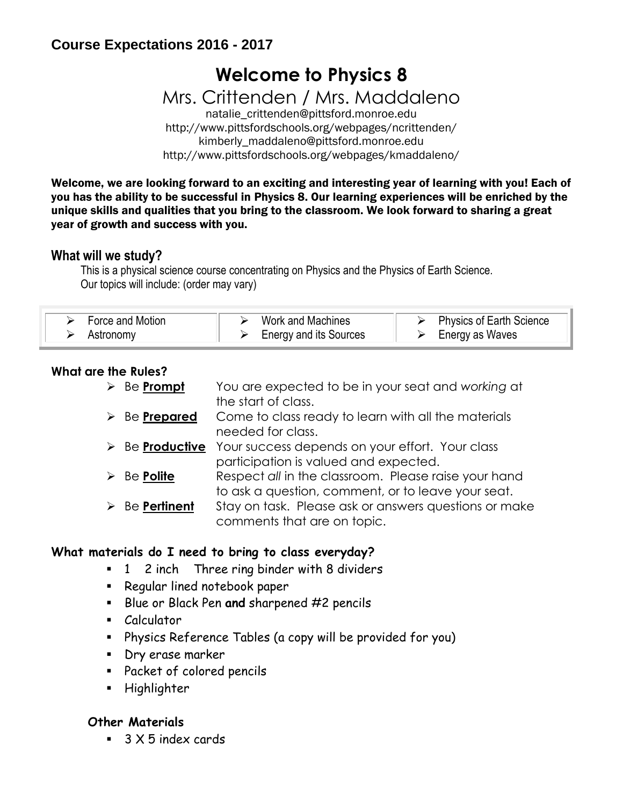## **Course Expectations 2016 - 2017**

# **Welcome to Physics 8**

Mrs. Crittenden / Mrs. Maddaleno

natalie\_crittenden@pittsford.monroe.edu http://www.pittsfordschools.org/webpages/ncrittenden/ kimberly\_maddaleno@pittsford.monroe.edu http://www.pittsfordschools.org/webpages/kmaddaleno/

Welcome, we are looking forward to an exciting and interesting year of learning with you! Each of you has the ability to be successful in Physics 8. Our learning experiences will be enriched by the unique skills and qualities that you bring to the classroom. We look forward to sharing a great year of growth and success with you.

#### **What will we study?**

This is a physical science course concentrating on Physics and the Physics of Earth Science. Our topics will include: (order may vary)

| Force and Motion | Work and Machines             | $\triangleright$ Physics of Earth Science |
|------------------|-------------------------------|-------------------------------------------|
| Astronomy        | <b>Energy and its Sources</b> | $\triangleright$ Energy as Waves          |

#### **What are the Rules?**

| $\blacktriangleright$ | Be Prompt                      | You are expected to be in your seat and working at<br>the start of class.                                  |
|-----------------------|--------------------------------|------------------------------------------------------------------------------------------------------------|
|                       | $\triangleright$ Be Prepared   | Come to class ready to learn with all the materials<br>needed for class.                                   |
|                       | $\triangleright$ Be Productive | Your success depends on your effort. Your class<br>participation is valued and expected.                   |
| ➤                     | Be Polite                      | Respect all in the classroom. Please raise your hand<br>to ask a question, comment, or to leave your seat. |
|                       | $\triangleright$ Be Pertinent  | Stay on task. Please ask or answers questions or make<br>comments that are on topic.                       |

#### **What materials do I need to bring to class everyday?**

- **1** 2 inch Three ring binder with 8 dividers
- **Regular lined notebook paper**
- Blue or Black Pen **and** sharpened #2 pencils
- Calculator
- Physics Reference Tables (a copy will be provided for you)
- **Dry erase marker**
- Packet of colored pencils
- Highlighter

#### **Other Materials**

■ 3 X 5 index cards